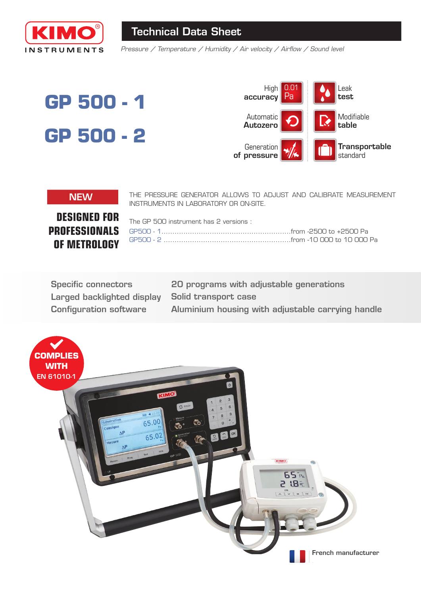

# **Technical Data Sheet**

Pressure / Temperature / Humidity / Air velocity / Airflow / Sound level

# GP 500 - 1 GP 500 - 2



#### **NEW**

THE PRESSURE GENERATOR ALLOWS TO ADJUST AND CALIBRATE MEASUREMENT INSTRUMENTS IN LABORATORY OR ON-SITE.

**DESIGNED FOR PROFESSIONALS** OF METROLOGY

| The GP 500 instrument has 2 versions : $\,$             |  |
|---------------------------------------------------------|--|
|                                                         |  |
| GP500 - 2 ……………………………………………………from -10 000 to 10 000 Pa |  |
|                                                         |  |

| <b>Specific connectors</b>    |
|-------------------------------|
| Larged backlighted display    |
| <b>Configuration software</b> |

20 programs with adjustable generations **Solid transport case** Aluminium housing with adjustable carrying handle

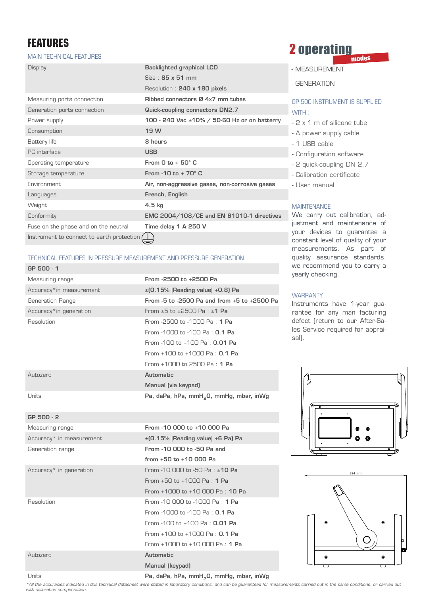# **FEATURES**

GP 500 - 2

Units

#### **MAIN TECHNICAL FEATURES**

| <b>Display</b>                            | <b>Backlighted graphical LCD</b>                 |
|-------------------------------------------|--------------------------------------------------|
|                                           | $Size \cdot 85 \times 51$ mm                     |
|                                           | Resolution: 240 x 180 pixels                     |
| Measuring ports connection                | Ribbed connectors Ø 4x7 mm tubes                 |
| Generation ports connection               | Quick-coupling connectors DN2.7                  |
| Power supply                              | 100 - 240 Vac ±10% / 50-60 Hz or on batterry     |
| Consumption                               | 19 W                                             |
| Battery life                              | 8 hours                                          |
| PC interface                              | <b>USB</b>                                       |
| Operating temperature                     | From 0 to $+50^{\circ}$ C                        |
| Storage temperature                       | From $-10$ to $+70^\circ$ C                      |
| Fnvironment.                              | Air, non-aggressive gases, non-corrosive gases   |
| Languages                                 | French, English                                  |
| Weight                                    | $4.5$ kg                                         |
| Conformity                                | <b>EMC 2004/108/CE and EN 61010-1 directives</b> |
| Fuse on the phase and on the neutral      | Time delay 1 A 250 V                             |
| Instrument to connect to earth protection |                                                  |

#### TECHNICAL FEATURES IN PRESSURE MEASUREMENT AND PRESSURE GENERATION

| GP 500 - 1              |                                                     |
|-------------------------|-----------------------------------------------------|
| Measuring range         | From -2500 to +2500 Pa                              |
| Accuracy*in measurement | $\pm$ [0.15%   Reading value   +0.8] Pa             |
| Generation Range        | From -5 to -2500 Pa and from +5 to +2500 Pa         |
| Accuracy*in generation  | From $+5$ to $+2500$ Pa : $+1$ Pa                   |
| Resolution              | From -2500 to -1000 Pa: 1 Pa                        |
|                         | From -1000 to -100 Pa : <b>0.1 Pa</b>               |
|                         | From -100 to +100 Pa : 0.01 Pa                      |
|                         | From $+100$ to $+1000$ Pa : 0.1 Pa                  |
|                         | From $+1000$ to 2500 Pa : 1 Pa                      |
| Autozero                | Automatic                                           |
|                         | Manual (via keypad)                                 |
| Units                   | Pa, daPa, hPa, mmH <sub>2</sub> 0, mmHg, mbar, inWg |

| Measuring range                     | From -10 000 to +10 000 Pa                 |
|-------------------------------------|--------------------------------------------|
| Accuracy* in measurement            | $\pm$ [0.15%   Reading value] +6 Pa) Pa    |
| Generation range                    | From -10 000 to -50 Pa and                 |
|                                     | from +50 to +10 000 Pa                     |
| Accuracy <sup>*</sup> in generation | From -10 000 to -50 Pa : $±10$ Pa          |
|                                     | From $+50$ to $+1000$ Pa : 1 Pa            |
|                                     | From $+1000$ to $+10000$ Pa : <b>10 Pa</b> |
| Resolution                          | From -10 000 to -1000 Pa : 1 Pa            |
|                                     | From -1000 to -100 Pa : 0.1 Pa             |
|                                     | From -100 to +100 Pa : $0.01$ Pa           |
|                                     | From $+100$ to $+1000$ Pa : 0.1 Pa         |
|                                     | From $+1000$ to $+10000$ Pa : 1 Pa         |
| Autozero                            | Automatic                                  |
|                                     | Manual (keypad)                            |

#### **2 operating** modes

- MEASUREMENT
- GENERATION

#### GP 500 INSTRUMENT IS SUPPLIED  $WITH:$

- 2 x 1 m of silicone tube
- A power supply cable
- 1 USB cable
- Configuration software
	- 2 quick-coupling DN 2.7
	- Calibration certificate
	- User manual

#### **MAINTENANCE**

We carry out calibration, adjustment and maintenance of your devices to guarantee a constant level of quality of your measurements. As part of quality assurance standards, we recommend you to carry a yearly checking.

#### **WARRANTY**

Instruments have 1-year guarantee for any man facturing defect (return to our After-Sales Service required for appraisal).





#### Pa, daPa, hPa, mmH<sub>2</sub>O, mmHg, mbar, inWg

\*All the accuracies indicated in this technical datasheet were stated in laboratory conditions, and can be guaranteed for measurements carried out in the same conditions, or carried out with calibration compensation.